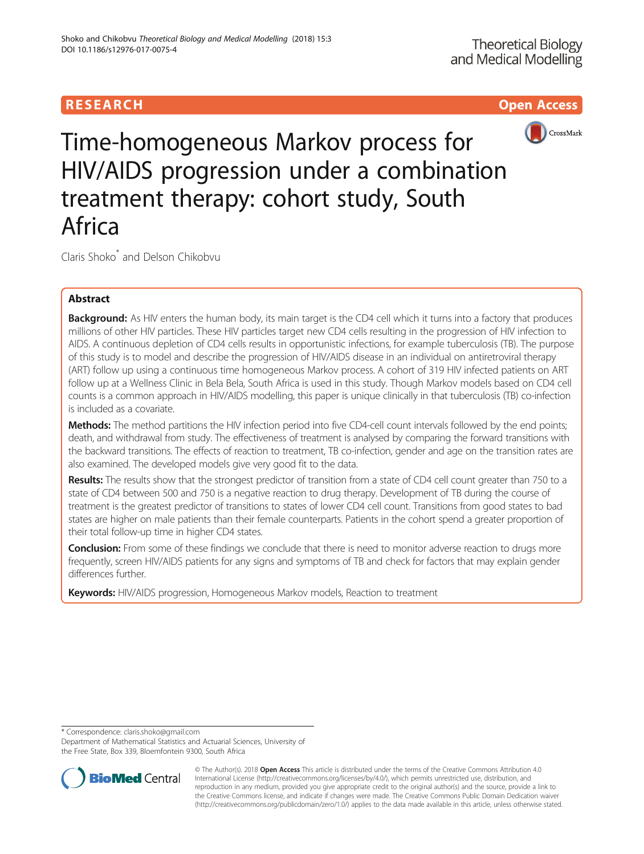# **RESEARCH CHILD CONTROL** CONTROL CONTROL CONTROL CONTROL CONTROL CONTROL CONTROL CONTROL CONTROL CONTROL CONTROL



Time-homogeneous Markov process for HIV/AIDS progression under a combination treatment therapy: cohort study, South Africa

Claris Shoko\* and Delson Chikobvu

# Abstract

Background: As HIV enters the human body, its main target is the CD4 cell which it turns into a factory that produces millions of other HIV particles. These HIV particles target new CD4 cells resulting in the progression of HIV infection to AIDS. A continuous depletion of CD4 cells results in opportunistic infections, for example tuberculosis (TB). The purpose of this study is to model and describe the progression of HIV/AIDS disease in an individual on antiretroviral therapy (ART) follow up using a continuous time homogeneous Markov process. A cohort of 319 HIV infected patients on ART follow up at a Wellness Clinic in Bela Bela, South Africa is used in this study. Though Markov models based on CD4 cell counts is a common approach in HIV/AIDS modelling, this paper is unique clinically in that tuberculosis (TB) co-infection is included as a covariate.

Methods: The method partitions the HIV infection period into five CD4-cell count intervals followed by the end points; death, and withdrawal from study. The effectiveness of treatment is analysed by comparing the forward transitions with the backward transitions. The effects of reaction to treatment, TB co-infection, gender and age on the transition rates are also examined. The developed models give very good fit to the data.

Results: The results show that the strongest predictor of transition from a state of CD4 cell count greater than 750 to a state of CD4 between 500 and 750 is a negative reaction to drug therapy. Development of TB during the course of treatment is the greatest predictor of transitions to states of lower CD4 cell count. Transitions from good states to bad states are higher on male patients than their female counterparts. Patients in the cohort spend a greater proportion of their total follow-up time in higher CD4 states.

**Conclusion:** From some of these findings we conclude that there is need to monitor adverse reaction to drugs more frequently, screen HIV/AIDS patients for any signs and symptoms of TB and check for factors that may explain gender differences further.

Keywords: HIV/AIDS progression, Homogeneous Markov models, Reaction to treatment

\* Correspondence: [claris.shoko@gmail.com](mailto:claris.shoko@gmail.com)

Department of Mathematical Statistics and Actuarial Sciences, University of the Free State, Box 339, Bloemfontein 9300, South Africa



© The Author(s). 2018 Open Access This article is distributed under the terms of the Creative Commons Attribution 4.0 International License [\(http://creativecommons.org/licenses/by/4.0/](http://creativecommons.org/licenses/by/4.0/)), which permits unrestricted use, distribution, and reproduction in any medium, provided you give appropriate credit to the original author(s) and the source, provide a link to the Creative Commons license, and indicate if changes were made. The Creative Commons Public Domain Dedication waiver [\(http://creativecommons.org/publicdomain/zero/1.0/](http://creativecommons.org/publicdomain/zero/1.0/)) applies to the data made available in this article, unless otherwise stated.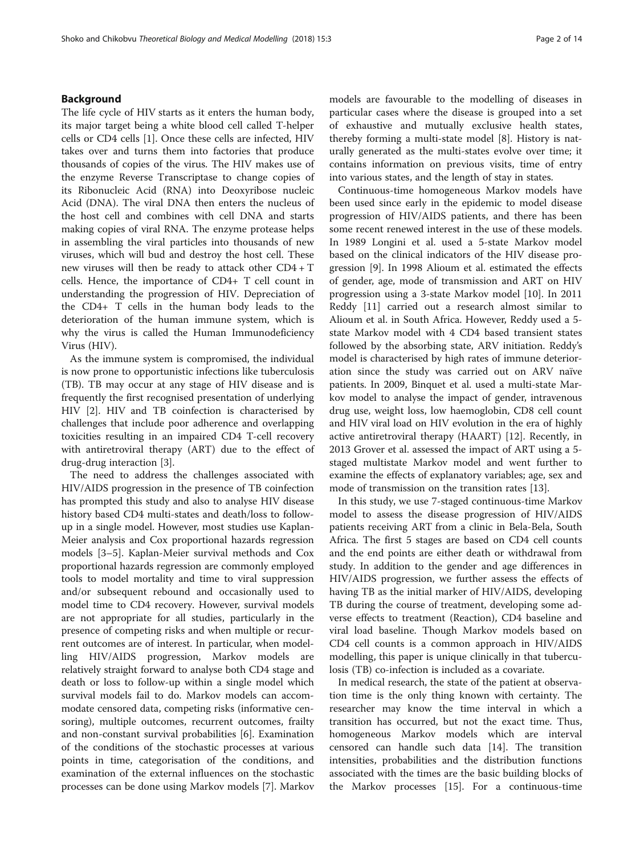## Background

The life cycle of HIV starts as it enters the human body, its major target being a white blood cell called T-helper cells or CD4 cells [[1](#page-12-0)]. Once these cells are infected, HIV takes over and turns them into factories that produce thousands of copies of the virus. The HIV makes use of the enzyme Reverse Transcriptase to change copies of its Ribonucleic Acid (RNA) into Deoxyribose nucleic Acid (DNA). The viral DNA then enters the nucleus of the host cell and combines with cell DNA and starts making copies of viral RNA. The enzyme protease helps in assembling the viral particles into thousands of new viruses, which will bud and destroy the host cell. These new viruses will then be ready to attack other CD4 + T cells. Hence, the importance of CD4+ T cell count in understanding the progression of HIV. Depreciation of the CD4+ T cells in the human body leads to the deterioration of the human immune system, which is why the virus is called the Human Immunodeficiency Virus (HIV).

As the immune system is compromised, the individual is now prone to opportunistic infections like tuberculosis (TB). TB may occur at any stage of HIV disease and is frequently the first recognised presentation of underlying HIV [[2\]](#page-12-0). HIV and TB coinfection is characterised by challenges that include poor adherence and overlapping toxicities resulting in an impaired CD4 T-cell recovery with antiretroviral therapy (ART) due to the effect of drug-drug interaction [\[3](#page-12-0)].

The need to address the challenges associated with HIV/AIDS progression in the presence of TB coinfection has prompted this study and also to analyse HIV disease history based CD4 multi-states and death/loss to followup in a single model. However, most studies use Kaplan-Meier analysis and Cox proportional hazards regression models [\[3](#page-12-0)–[5](#page-12-0)]. Kaplan-Meier survival methods and Cox proportional hazards regression are commonly employed tools to model mortality and time to viral suppression and/or subsequent rebound and occasionally used to model time to CD4 recovery. However, survival models are not appropriate for all studies, particularly in the presence of competing risks and when multiple or recurrent outcomes are of interest. In particular, when modelling HIV/AIDS progression, Markov models are relatively straight forward to analyse both CD4 stage and death or loss to follow-up within a single model which survival models fail to do. Markov models can accommodate censored data, competing risks (informative censoring), multiple outcomes, recurrent outcomes, frailty and non-constant survival probabilities [\[6](#page-12-0)]. Examination of the conditions of the stochastic processes at various points in time, categorisation of the conditions, and examination of the external influences on the stochastic processes can be done using Markov models [[7\]](#page-12-0). Markov models are favourable to the modelling of diseases in particular cases where the disease is grouped into a set of exhaustive and mutually exclusive health states, thereby forming a multi-state model [[8\]](#page-12-0). History is naturally generated as the multi-states evolve over time; it contains information on previous visits, time of entry into various states, and the length of stay in states.

Continuous-time homogeneous Markov models have been used since early in the epidemic to model disease progression of HIV/AIDS patients, and there has been some recent renewed interest in the use of these models. In 1989 Longini et al. used a 5-state Markov model based on the clinical indicators of the HIV disease progression [\[9\]](#page-12-0). In 1998 Alioum et al. estimated the effects of gender, age, mode of transmission and ART on HIV progression using a 3-state Markov model [[10\]](#page-12-0). In 2011 Reddy [\[11](#page-12-0)] carried out a research almost similar to Alioum et al. in South Africa. However, Reddy used a 5 state Markov model with 4 CD4 based transient states followed by the absorbing state, ARV initiation. Reddy's model is characterised by high rates of immune deterioration since the study was carried out on ARV naïve patients. In 2009, Binquet et al. used a multi-state Markov model to analyse the impact of gender, intravenous drug use, weight loss, low haemoglobin, CD8 cell count and HIV viral load on HIV evolution in the era of highly active antiretroviral therapy (HAART) [[12\]](#page-12-0). Recently, in 2013 Grover et al. assessed the impact of ART using a 5 staged multistate Markov model and went further to examine the effects of explanatory variables; age, sex and mode of transmission on the transition rates [\[13](#page-12-0)].

In this study, we use 7-staged continuous-time Markov model to assess the disease progression of HIV/AIDS patients receiving ART from a clinic in Bela-Bela, South Africa. The first 5 stages are based on CD4 cell counts and the end points are either death or withdrawal from study. In addition to the gender and age differences in HIV/AIDS progression, we further assess the effects of having TB as the initial marker of HIV/AIDS, developing TB during the course of treatment, developing some adverse effects to treatment (Reaction), CD4 baseline and viral load baseline. Though Markov models based on CD4 cell counts is a common approach in HIV/AIDS modelling, this paper is unique clinically in that tuberculosis (TB) co-infection is included as a covariate.

In medical research, the state of the patient at observation time is the only thing known with certainty. The researcher may know the time interval in which a transition has occurred, but not the exact time. Thus, homogeneous Markov models which are interval censored can handle such data [[14\]](#page-12-0). The transition intensities, probabilities and the distribution functions associated with the times are the basic building blocks of the Markov processes [\[15](#page-12-0)]. For a continuous-time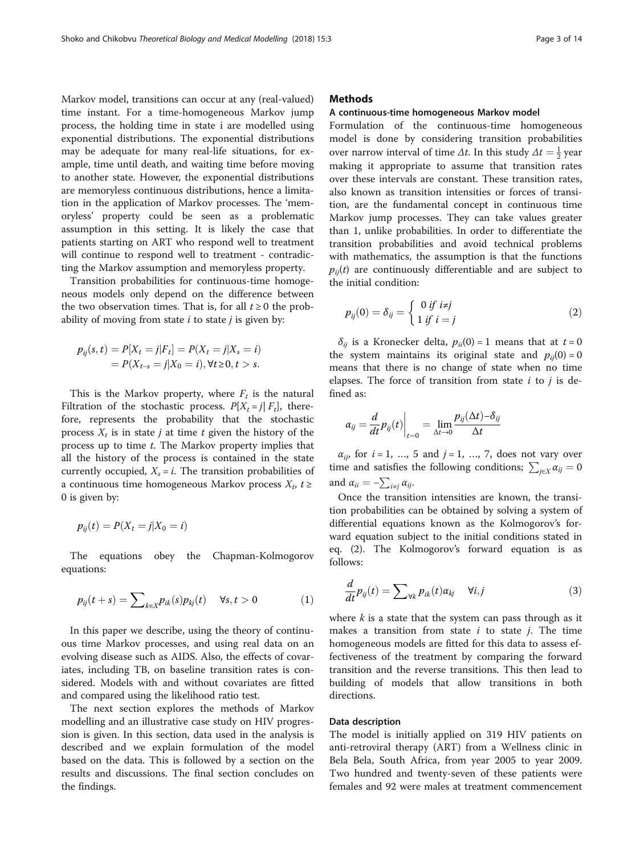Markov model, transitions can occur at any (real-valued) time instant. For a time-homogeneous Markov jump process, the holding time in state i are modelled using exponential distributions. The exponential distributions may be adequate for many real-life situations, for example, time until death, and waiting time before moving to another state. However, the exponential distributions are memoryless continuous distributions, hence a limitation in the application of Markov processes. The 'memoryless' property could be seen as a problematic assumption in this setting. It is likely the case that patients starting on ART who respond well to treatment will continue to respond well to treatment - contradicting the Markov assumption and memoryless property.

Transition probabilities for continuous-time homogeneous models only depend on the difference between the two observation times. That is, for all  $t \geq 0$  the probability of moving from state  $i$  to state  $j$  is given by:

$$
p_{ij}(s,t) = P[X_t = j|F_t] = P(X_t = j|X_s = i)
$$
  
=  $P(X_{t-s} = j|X_0 = i), \forall t \ge 0, t > s.$ 

This is the Markov property, where  $F_t$  is the natural Filtration of the stochastic process.  $P[X_t = j | F_t]$ , therefore, represents the probability that the stochastic process  $X_t$  is in state *j* at time *t* given the history of the process up to time t. The Markov property implies that all the history of the process is contained in the state currently occupied,  $X_s = i$ . The transition probabilities of a continuous time homogeneous Markov process  $X_t$ ,  $t \geq$ 0 is given by:

$$
p_{ij}(t) = P(X_t = j | X_0 = i)
$$

The equations obey the Chapman-Kolmogorov equations:

$$
p_{ij}(t+s) = \sum\nolimits_{k \in X} p_{ik}(s) p_{kj}(t) \quad \forall s, t > 0 \tag{1}
$$

In this paper we describe, using the theory of continuous time Markov processes, and using real data on an evolving disease such as AIDS. Also, the effects of covariates, including TB, on baseline transition rates is considered. Models with and without covariates are fitted and compared using the likelihood ratio test.

The next section explores the methods of Markov modelling and an illustrative case study on HIV progression is given. In this section, data used in the analysis is described and we explain formulation of the model based on the data. This is followed by a section on the results and discussions. The final section concludes on the findings.

## **Methods**

## A continuous-time homogeneous Markov model

Formulation of the continuous-time homogeneous model is done by considering transition probabilities over narrow interval of time  $\Delta t$ . In this study  $\Delta t = \frac{1}{2}$  year making it appropriate to assume that transition rates over these intervals are constant. These transition rates, also known as transition intensities or forces of transition, are the fundamental concept in continuous time Markov jump processes. They can take values greater than 1, unlike probabilities. In order to differentiate the transition probabilities and avoid technical problems with mathematics, the assumption is that the functions  $p_{ii}(t)$  are continuously differentiable and are subject to the initial condition:

$$
p_{ij}(0) = \delta_{ij} = \begin{cases} 0 \text{ if } i \neq j \\ 1 \text{ if } i = j \end{cases}
$$
 (2)

 $\delta_{ij}$  is a Kronecker delta,  $p_{ii}(0) = 1$  means that at  $t = 0$ the system maintains its original state and  $p_{ii}(0) = 0$ means that there is no change of state when no time elapses. The force of transition from state  $i$  to  $j$  is defined as:

$$
\alpha_{ij} = \frac{d}{dt} p_{ij}(t) \bigg|_{t=0} = \lim_{\Delta t \to 0} \frac{p_{ij}(\Delta t) - \delta_{ij}}{\Delta t}
$$

 $\alpha_{ij}$ , for  $i = 1, \ldots, 5$  and  $j = 1, \ldots, 7$ , does not vary over time and satisfies the following conditions;  $\sum_{j \in X} \alpha_{ij} = 0$ and  $\alpha_{ii} = -\sum_{i \neq j} \alpha_{ij}$ .

Once the transition intensities are known, the transition probabilities can be obtained by solving a system of differential equations known as the Kolmogorov's forward equation subject to the initial conditions stated in eq. (2). The Kolmogorov's forward equation is as follows:

$$
\frac{d}{dt}p_{ij}(t) = \sum_{\forall k} p_{ik}(t)\alpha_{kj} \quad \forall i, j \tag{3}
$$

where  $k$  is a state that the system can pass through as it makes a transition from state  $i$  to state  $j$ . The time homogeneous models are fitted for this data to assess effectiveness of the treatment by comparing the forward transition and the reverse transitions. This then lead to building of models that allow transitions in both directions.

## Data description

The model is initially applied on 319 HIV patients on anti-retroviral therapy (ART) from a Wellness clinic in Bela Bela, South Africa, from year 2005 to year 2009. Two hundred and twenty-seven of these patients were females and 92 were males at treatment commencement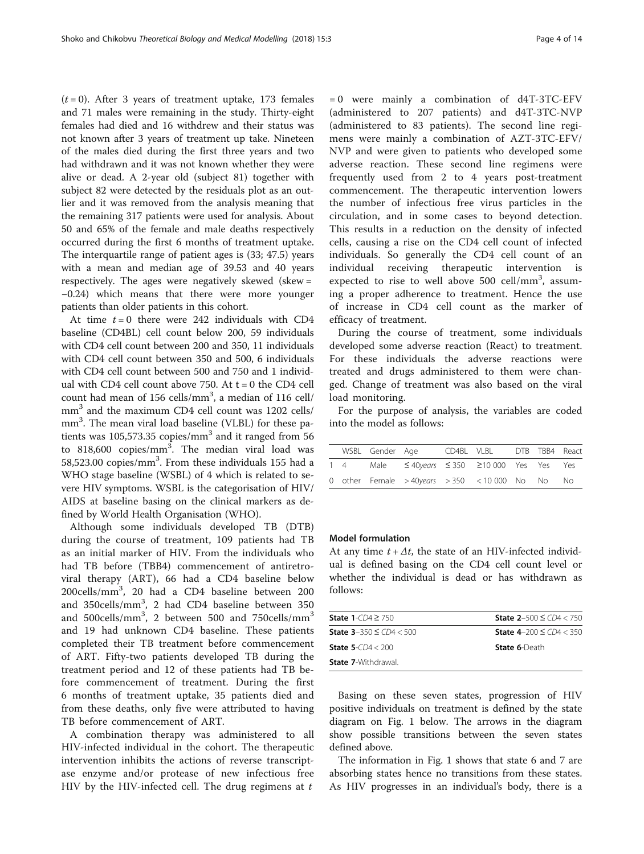$(t = 0)$ . After 3 years of treatment uptake, 173 females and 71 males were remaining in the study. Thirty-eight females had died and 16 withdrew and their status was not known after 3 years of treatment up take. Nineteen of the males died during the first three years and two had withdrawn and it was not known whether they were alive or dead. A 2-year old (subject 81) together with subject 82 were detected by the residuals plot as an outlier and it was removed from the analysis meaning that the remaining 317 patients were used for analysis. About 50 and 65% of the female and male deaths respectively occurred during the first 6 months of treatment uptake. The interquartile range of patient ages is (33; 47.5) years with a mean and median age of 39.53 and 40 years respectively. The ages were negatively skewed (skew = −0.24) which means that there were more younger patients than older patients in this cohort.

At time  $t = 0$  there were 242 individuals with CD4 baseline (CD4BL) cell count below 200, 59 individuals with CD4 cell count between 200 and 350, 11 individuals with CD4 cell count between 350 and 500, 6 individuals with CD4 cell count between 500 and 750 and 1 individual with CD4 cell count above 750. At  $t = 0$  the CD4 cell count had mean of 156 cells/mm<sup>3</sup>, a median of 116 cell/ mm<sup>3</sup> and the maximum CD4 cell count was 1202 cells/ mm<sup>3</sup>. The mean viral load baseline (VLBL) for these patients was 105,573.35 copies/ $mm<sup>3</sup>$  and it ranged from 56 to 818,600 copies/mm<sup>3</sup>. The median viral load was 58,523.00 copies/ $mm<sup>3</sup>$ . From these individuals 155 had a WHO stage baseline (WSBL) of 4 which is related to severe HIV symptoms. WSBL is the categorisation of HIV/ AIDS at baseline basing on the clinical markers as defined by World Health Organisation (WHO).

Although some individuals developed TB (DTB) during the course of treatment, 109 patients had TB as an initial marker of HIV. From the individuals who had TB before (TBB4) commencement of antiretroviral therapy (ART), 66 had a CD4 baseline below 200cells/mm<sup>3</sup> , 20 had a CD4 baseline between 200 and 350cells/mm<sup>3</sup>, 2 had CD4 baseline between 350 and 500cells/mm<sup>3</sup>, 2 between 500 and 750cells/mm<sup>3</sup> and 19 had unknown CD4 baseline. These patients completed their TB treatment before commencement of ART. Fifty-two patients developed TB during the treatment period and 12 of these patients had TB before commencement of treatment. During the first 6 months of treatment uptake, 35 patients died and from these deaths, only five were attributed to having TB before commencement of ART.

A combination therapy was administered to all HIV-infected individual in the cohort. The therapeutic intervention inhibits the actions of reverse transcriptase enzyme and/or protease of new infectious free HIV by the HIV-infected cell. The drug regimens at  $t$ 

= 0 were mainly a combination of d4T-3TC-EFV (administered to 207 patients) and d4T-3TC-NVP (administered to 83 patients). The second line regimens were mainly a combination of AZT-3TC-EFV/ NVP and were given to patients who developed some adverse reaction. These second line regimens were frequently used from 2 to 4 years post-treatment commencement. The therapeutic intervention lowers the number of infectious free virus particles in the circulation, and in some cases to beyond detection. This results in a reduction on the density of infected cells, causing a rise on the CD4 cell count of infected individuals. So generally the CD4 cell count of an individual receiving therapeutic intervention is expected to rise to well above  $500$  cell/mm<sup>3</sup>, assuming a proper adherence to treatment. Hence the use of increase in CD4 cell count as the marker of efficacy of treatment.

During the course of treatment, some individuals developed some adverse reaction (React) to treatment. For these individuals the adverse reactions were treated and drugs administered to them were changed. Change of treatment was also based on the viral load monitoring.

For the purpose of analysis, the variables are coded into the model as follows:

|  | WSBL Gender Age |                                                  | CD4BL VLBL DTB TBB4 React |  |  |
|--|-----------------|--------------------------------------------------|---------------------------|--|--|
|  |                 | 1 4 Male ≤40years ≤350 ≥10 000 Yes Yes Yes       |                           |  |  |
|  |                 | 0 other Female > 40years > 350 < 10 000 No No No |                           |  |  |

## Model formulation

At any time  $t + \Delta t$ , the state of an HIV-infected individual is defined basing on the CD4 cell count level or whether the individual is dead or has withdrawn as follows:

| <b>State 1-CD4 <math>\geq</math> 750</b>                       | <b>State 2-500 <math>\leq</math> CD4 <math>&lt;</math> 750</b> |
|----------------------------------------------------------------|----------------------------------------------------------------|
| <b>State 3-350 <math>\leq</math> CD4 <math>&lt;</math> 500</b> | <b>State 4–200 ≤ CD4 &lt; 350</b>                              |
| <b>State 5-CD4 &lt; 200</b>                                    | <b>State 6-Death</b>                                           |
| <b>State 7-</b> Withdrawal                                     |                                                                |

Basing on these seven states, progression of HIV positive individuals on treatment is defined by the state diagram on Fig. [1](#page-4-0) below. The arrows in the diagram show possible transitions between the seven states defined above.

The information in Fig. [1](#page-4-0) shows that state 6 and 7 are absorbing states hence no transitions from these states. As HIV progresses in an individual's body, there is a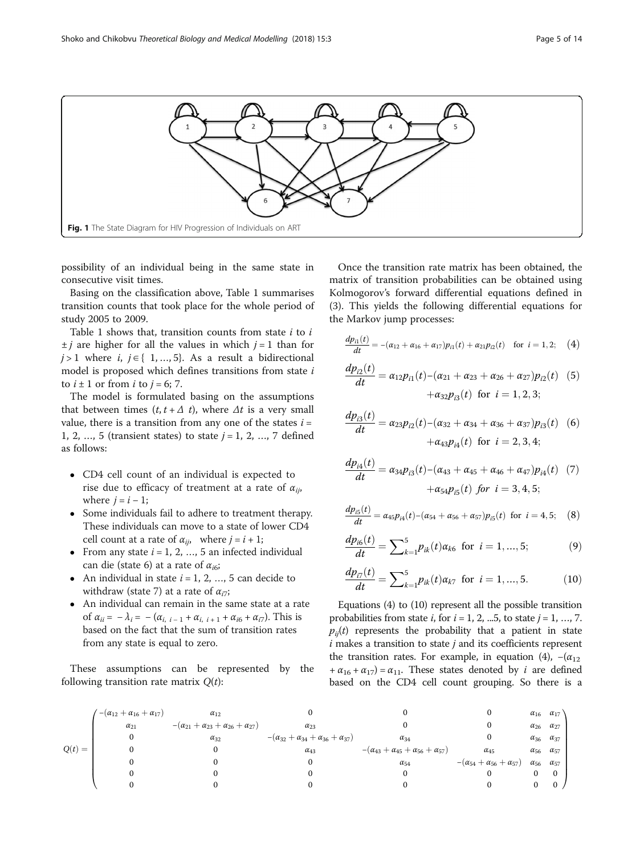<span id="page-4-0"></span>

possibility of an individual being in the same state in consecutive visit times.

Basing on the classification above, Table [1](#page-5-0) summarises transition counts that took place for the whole period of study 2005 to 2009.

Table [1](#page-5-0) shows that, transition counts from state  $i$  to  $i$  $\pm j$  are higher for all the values in which  $j = 1$  than for  $j > 1$  where  $i, j ∈ { 1, ..., 5}$ . As a result a bidirectional model is proposed which defines transitions from state  $i$ to  $i \pm 1$  or from i to  $j = 6$ ; 7.

The model is formulated basing on the assumptions that between times  $(t, t + \Delta t)$ , where  $\Delta t$  is a very small value, there is a transition from any one of the states  $i =$ 1, 2, ..., 5 (transient states) to state  $j = 1, 2, ..., 7$  defined as follows:

- CD4 cell count of an individual is expected to rise due to efficacy of treatment at a rate of  $\alpha_{ii}$ , where  $j = i - 1$ ;
- Some individuals fail to adhere to treatment therapy. These individuals can move to a state of lower CD4 cell count at a rate of  $\alpha_{ij}$ , where  $j = i + 1$ ;
- From any state  $i = 1, 2, ..., 5$  an infected individual can die (state 6) at a rate of  $\alpha_{i6}$ ;
- An individual in state  $i = 1, 2, ..., 5$  can decide to withdraw (state 7) at a rate of  $\alpha_{i7}$ ;
- An individual can remain in the same state at a rate of  $\alpha_{ii} = -\lambda_i = -(\alpha_{i, i-1} + \alpha_{i, i+1} + \alpha_{i6} + \alpha_{i7})$ . This is based on the fact that the sum of transition rates from any state is equal to zero.

These assumptions can be represented by the following transition rate matrix  $Q(t)$ :

Once the transition rate matrix has been obtained, the matrix of transition probabilities can be obtained using Kolmogorov's forward differential equations defined in (3). This yields the following differential equations for the Markov jump processes:

$$
\frac{dp_{i1}(t)}{dt} = -(\alpha_{12} + \alpha_{16} + \alpha_{17})p_{i1}(t) + \alpha_{21}p_{i2}(t) \text{ for } i = 1, 2; (4)
$$

$$
\frac{dp_{i2}(t)}{dt} = \alpha_{12}p_{i1}(t) - (\alpha_{21} + \alpha_{23} + \alpha_{26} + \alpha_{27})p_{i2}(t)
$$
 (5)  
 
$$
+\alpha_{32}p_{i3}(t) \text{ for } i = 1, 2, 3;
$$

$$
\frac{dp_{i3}(t)}{dt} = \alpha_{23}p_{i2}(t) - (\alpha_{32} + \alpha_{34} + \alpha_{36} + \alpha_{37})p_{i3}(t)
$$
 (6)  
 
$$
+\alpha_{43}p_{i4}(t) \text{ for } i = 2, 3, 4;
$$

$$
\frac{dp_{i4}(t)}{dt} = \alpha_{34}p_{i3}(t) - (\alpha_{43} + \alpha_{45} + \alpha_{46} + \alpha_{47})p_{i4}(t) \tag{7}
$$

$$
+ \alpha_{54}p_{i5}(t) \text{ for } i = 3, 4, 5;
$$

$$
\frac{dp_{i5}(t)}{dt} = \alpha_{45}p_{i4}(t) - (\alpha_{54} + \alpha_{56} + \alpha_{57})p_{i5}(t)
$$
 for  $i = 4, 5$ ; (8)

$$
\frac{dp_{i6}(t)}{dt} = \sum_{k=1}^{5} p_{ik}(t) \alpha_{k6} \text{ for } i = 1, ..., 5; \tag{9}
$$

$$
\frac{dp_{i7}(t)}{dt} = \sum_{k=1}^{5} p_{ik}(t) \alpha_{k7} \text{ for } i = 1, ..., 5. \quad (10)
$$

Equations (4) to (10) represent all the possible transition probabilities from state  $i$ , for  $i = 1, 2, ...5$ , to state  $j = 1, ..., 7$ .  $p_{ii}(t)$  represents the probability that a patient in state  $i$  makes a transition to state  $j$  and its coefficients represent the transition rates. For example, in equation (4),  $-(\alpha_{12})$ +  $\alpha_{16}$  +  $\alpha_{17}$ ) =  $\alpha_{11}$ . These states denoted by *i* are defined based on the CD4 cell count grouping. So there is a

|          | $-(\alpha_{12}+\alpha_{16}+\alpha_{17})$ | $\alpha_{12}$                                        |                                                            |                                                      |                                          | $\alpha_{16}$ $\alpha_{17}$ |                |
|----------|------------------------------------------|------------------------------------------------------|------------------------------------------------------------|------------------------------------------------------|------------------------------------------|-----------------------------|----------------|
|          | $\alpha_{21}$                            | $-(\alpha_{21}+\alpha_{23}+\alpha_{26}+\alpha_{27})$ | $\alpha_{23}$                                              |                                                      |                                          | $\alpha_{26}$ $\alpha_{27}$ |                |
|          |                                          | $\alpha_{32}$                                        | $-(\alpha_{32} + \alpha_{34} + \alpha_{36} + \alpha_{37})$ | $\alpha_{34}$                                        |                                          | $\alpha_{36}$ $\alpha_{37}$ |                |
| $Q(t) =$ |                                          |                                                      | $\alpha_{43}$                                              | $-(\alpha_{43}+\alpha_{45}+\alpha_{56}+\alpha_{57})$ | $\alpha_{45}$                            | $\alpha_{56}$ $\alpha_{57}$ |                |
|          |                                          |                                                      |                                                            | $\alpha_{54}$                                        | $-(\alpha_{54}+\alpha_{56}+\alpha_{57})$ | $\alpha_{56}$               | $\alpha_{57}$  |
|          |                                          |                                                      |                                                            |                                                      |                                          |                             | $\overline{0}$ |
|          |                                          |                                                      |                                                            |                                                      |                                          |                             | $\mathbf{0}$   |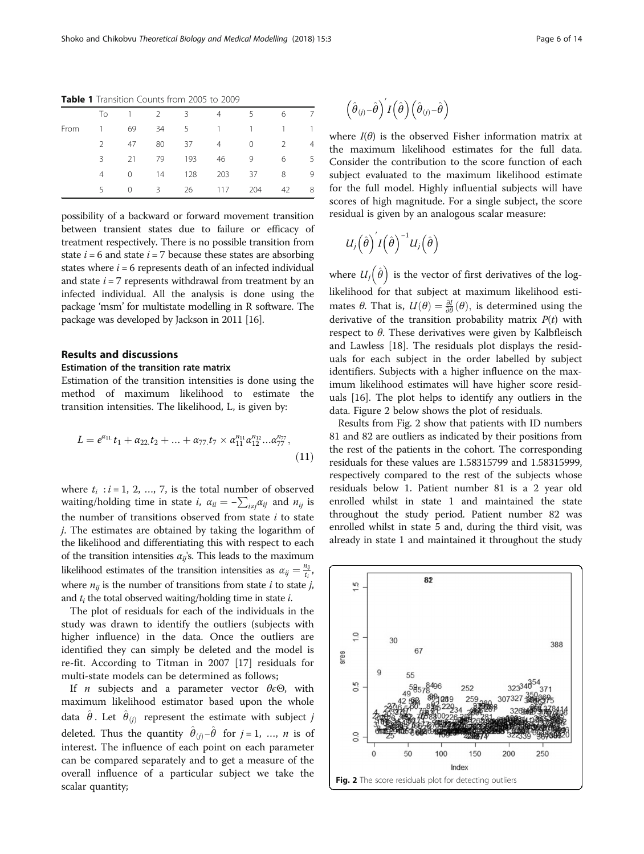|      | To            | $\overline{1}$ | $2^{\circ}$ | $\overline{\mathbf{3}}$ | $\overline{4}$ | 5.          | 6             | 7              |
|------|---------------|----------------|-------------|-------------------------|----------------|-------------|---------------|----------------|
| From |               | 69             | 34          | 5 <sup>5</sup>          |                | $1 \quad 1$ | $\mathbf{1}$  | $\mathbf{1}$   |
|      | $\mathcal{P}$ | 47             | 80          | -37                     | $4 \quad$      | $\Omega$    | $\mathcal{L}$ | $\overline{4}$ |
|      | 3             | 21             | 79          | 193                     | 46             | 9           | 6             | 5              |
|      | 4             | $\Omega$       | 14          | 128                     | 203            | 37          | 8             | -9             |
|      | 5.            | $\Omega$       | $3^{\circ}$ | 26                      | 117            | 204         | 42            | 8              |
|      |               |                |             |                         |                |             |               |                |

<span id="page-5-0"></span>Table 1 Transition Counts from 2005 to 2009

possibility of a backward or forward movement transition between transient states due to failure or efficacy of treatment respectively. There is no possible transition from state  $i = 6$  and state  $i = 7$  because these states are absorbing states where  $i = 6$  represents death of an infected individual and state  $i = 7$  represents withdrawal from treatment by an infected individual. All the analysis is done using the package 'msm' for multistate modelling in R software. The package was developed by Jackson in 2011 [\[16\]](#page-12-0).

## Results and discussions

## Estimation of the transition rate matrix

Estimation of the transition intensities is done using the method of maximum likelihood to estimate the transition intensities. The likelihood, L, is given by:

$$
L = e^{\alpha_{11}}t_1 + \alpha_{22}t_2 + \dots + \alpha_{77}t_7 \times \alpha_{11}^{n_{11}}\alpha_{12}^{n_{12}}...\alpha_{77}^{n_{77}},
$$
\n(11)

where  $t_i$  :  $i = 1, 2, ..., 7$ , is the total number of observed waiting/holding time in state *i*,  $\alpha_{ii} = -\sum_{i \neq j} \alpha_{ij}$  and  $n_{ij}$  is the number of transitions observed from state  $i$  to state j. The estimates are obtained by taking the logarithm of the likelihood and differentiating this with respect to each of the transition intensities  $\alpha_{ij}$ 's. This leads to the maximum likelihood estimates of the transition intensities as  $\alpha_{ij} = \frac{n_{ij}}{t_i}$ , where  $n_{ii}$  is the number of transitions from state *i* to state *j*, and  $t_i$  the total observed waiting/holding time in state  $i$ .

The plot of residuals for each of the individuals in the study was drawn to identify the outliers (subjects with higher influence) in the data. Once the outliers are identified they can simply be deleted and the model is re-fit. According to Titman in 2007 [\[17](#page-12-0)] residuals for multi-state models can be determined as follows;

If *n* subjects and a parameter vector  $\theta \in \Theta$ , with maximum likelihood estimator based upon the whole data  $\hat{\theta}$ . Let  $\hat{\theta}_{(j)}$  represent the estimate with subject  $j$ deleted. Thus the quantity  $\hat{\theta}_{(j)} - \hat{\theta}$  for  $j = 1, ..., n$  is of interest. The influence of each point on each parameter can be compared separately and to get a measure of the overall influence of a particular subject we take the scalar quantity;

$$
\left(\hat{\boldsymbol{\theta}}_{(j)} - \hat{\boldsymbol{\theta}}\right)' I\left(\hat{\boldsymbol{\theta}}\right) \left(\hat{\boldsymbol{\theta}}_{(j)} - \hat{\boldsymbol{\theta}}\right)
$$

where  $I(\theta)$  is the observed Fisher information matrix at the maximum likelihood estimates for the full data. Consider the contribution to the score function of each subject evaluated to the maximum likelihood estimate for the full model. Highly influential subjects will have scores of high magnitude. For a single subject, the score residual is given by an analogous scalar measure:

$$
U_j\left(\hat{\theta}\right)^{'}I\left(\hat{\theta}\right)^{-1}U_j\left(\hat{\theta}\right)
$$

where  $U_j(\hat{\theta})$  is the vector of first derivatives of the loglikelihood for that subject at maximum likelihood estimates  $\theta$ . That is,  $U(\theta) = \frac{\partial l}{\partial \theta}(\theta)$ , is determined using the derivative of the transition probability matrix  $P(t)$  with respect to  $\theta$ . These derivatives were given by Kalbfleisch and Lawless [[18\]](#page-12-0). The residuals plot displays the residuals for each subject in the order labelled by subject identifiers. Subjects with a higher influence on the maximum likelihood estimates will have higher score residuals [\[16\]](#page-12-0). The plot helps to identify any outliers in the data. Figure 2 below shows the plot of residuals.

Results from Fig. 2 show that patients with ID numbers 81 and 82 are outliers as indicated by their positions from the rest of the patients in the cohort. The corresponding residuals for these values are 1.58315799 and 1.58315999, respectively compared to the rest of the subjects whose residuals below 1. Patient number 81 is a 2 year old enrolled whilst in state 1 and maintained the state throughout the study period. Patient number 82 was enrolled whilst in state 5 and, during the third visit, was already in state 1 and maintained it throughout the study

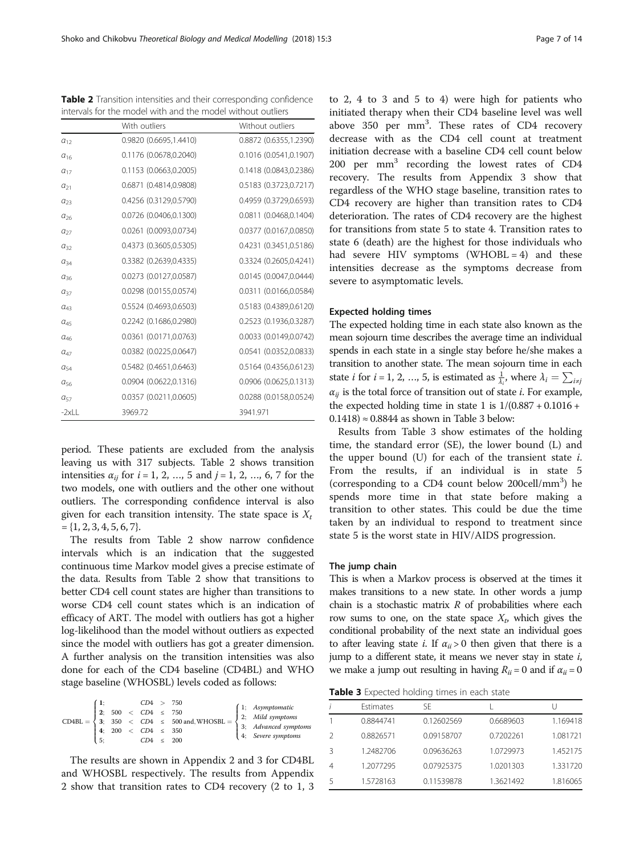Table 2 Transition intensities and their corresponding confidence intervals for the model with and the model without outliers

|               | With outliers          | Without outliers       |
|---------------|------------------------|------------------------|
| $a_{12}$      | 0.9820 (0.6695,1.4410) | 0.8872 (0.6355,1.2390) |
| $a_{16}$      | 0.1176 (0.0678,0.2040) | 0.1016 (0.0541,0.1907) |
| $a_{17}$      | 0.1153 (0.0663,0.2005) | 0.1418 (0.0843,0.2386) |
| $a_{21}$      | 0.6871 (0.4814,0.9808) | 0.5183 (0.3723,0.7217) |
| $a_{23}$      | 0.4256 (0.3129,0.5790) | 0.4959 (0.3729,0.6593) |
| $a_{26}$      | 0.0726 (0.0406,0.1300) | 0.0811 (0.0468,0.1404) |
| $a_{27}$      | 0.0261 (0.0093,0.0734) | 0.0377 (0.0167,0.0850) |
| $a_{32}$      | 0.4373 (0.3605,0.5305) | 0.4231 (0.3451,0.5186) |
| $a_{34}$      | 0.3382 (0.2639,0.4335) | 0.3324 (0.2605,0.4241) |
| $a_{36}$      | 0.0273 (0.0127,0.0587) | 0.0145 (0.0047,0.0444) |
| $a_{37}$      | 0.0298 (0.0155,0.0574) | 0.0311 (0.0166,0.0584) |
| $\alpha_{43}$ | 0.5524 (0.4693,0.6503) | 0.5183 (0.4389,0.6120) |
| $a_{45}$      | 0.2242 (0.1686,0.2980) | 0.2523 (0.1936,0.3287) |
| $\alpha_{46}$ | 0.0361 (0.0171,0.0763) | 0.0033 (0.0149,0.0742) |
| $\alpha_{47}$ | 0.0382 (0.0225,0.0647) | 0.0541 (0.0352,0.0833) |
| $a_{54}$      | 0.5482 (0.4651,0.6463) | 0.5164 (0.4356,0.6123) |
| $a_{56}$      | 0.0904 (0.0622,0.1316) | 0.0906 (0.0625,0.1313) |
| $a_{57}$      | 0.0357 (0.0211,0.0605) | 0.0288 (0.0158,0.0524) |
| $-2xLL$       | 3969.72                | 3941.971               |

period. These patients are excluded from the analysis leaving us with 317 subjects. Table 2 shows transition intensities  $\alpha_{ij}$  for  $i = 1, 2, ..., 5$  and  $j = 1, 2, ..., 6, 7$  for the two models, one with outliers and the other one without outliers. The corresponding confidence interval is also given for each transition intensity. The state space is  $X_t$  $= \{1, 2, 3, 4, 5, 6, 7\}.$ 

The results from Table 2 show narrow confidence intervals which is an indication that the suggested continuous time Markov model gives a precise estimate of the data. Results from Table 2 show that transitions to better CD4 cell count states are higher than transitions to worse CD4 cell count states which is an indication of efficacy of ART. The model with outliers has got a higher log-likelihood than the model without outliers as expected since the model with outliers has got a greater dimension. A further analysis on the transition intensities was also done for each of the CD4 baseline (CD4BL) and WHO stage baseline (WHOSBL) levels coded as follows:

|                                                                                                                                                                                                                                                                                                                  |     |  | CD4 > 750      |  |                             |  |
|------------------------------------------------------------------------------------------------------------------------------------------------------------------------------------------------------------------------------------------------------------------------------------------------------------------|-----|--|----------------|--|-----------------------------|--|
|                                                                                                                                                                                                                                                                                                                  |     |  |                |  |                             |  |
| $\text{CD4BL} = \left\{ \begin{array}{ll} 2; & 500 < CD4 \leq 750 \\ 3; & 350 < CD4 \leq 500 \text{ and, WHOSBL} = \left\{ \begin{array}{ll} 1; & \textit{Asymptomatic} \\ 2; & \textit{Mild symptoms} \\ 3; & \textit{Advanced symptoms} \\ \end{array} \right. \\ 4; & 200 < CD4 \leq 350 \end{array} \right.$ |     |  |                |  |                             |  |
|                                                                                                                                                                                                                                                                                                                  |     |  |                |  |                             |  |
|                                                                                                                                                                                                                                                                                                                  | 15: |  | $CD4 \leq 200$ |  | $\vert 4$ ; Severe symptoms |  |

The results are shown in [Appendix 2](#page-11-0) and [3](#page-12-0) for CD4BL and WHOSBL respectively. The results from [Appendix](#page-11-0) [2](#page-11-0) show that transition rates to CD4 recovery (2 to 1, 3

to 2, 4 to 3 and 5 to 4) were high for patients who initiated therapy when their CD4 baseline level was well above 350 per mm<sup>3</sup>. These rates of CD4 recovery decrease with as the CD4 cell count at treatment initiation decrease with a baseline CD4 cell count below 200 per mm<sup>3</sup> recording the lowest rates of CD4 recovery. The results from [Appendix 3](#page-12-0) show that regardless of the WHO stage baseline, transition rates to CD4 recovery are higher than transition rates to CD4 deterioration. The rates of CD4 recovery are the highest for transitions from state 5 to state 4. Transition rates to state 6 (death) are the highest for those individuals who had severe HIV symptoms  $(WHOBL = 4)$  and these intensities decrease as the symptoms decrease from severe to asymptomatic levels.

## Expected holding times

The expected holding time in each state also known as the mean sojourn time describes the average time an individual spends in each state in a single stay before he/she makes a transition to another state. The mean sojourn time in each state *i* for *i* = 1, 2, ..., 5, is estimated as  $\frac{1}{\lambda_i}$ , where  $\lambda_i = \sum_{i \neq j}$  $\alpha_{ij}$  is the total force of transition out of state *i*. For example, the expected holding time in state 1 is  $1/(0.887 + 0.1016 +$  $(0.1418) \approx 0.8844$  as shown in Table 3 below:

Results from Table 3 show estimates of the holding time, the standard error (SE), the lower bound (L) and the upper bound  $(U)$  for each of the transient state  $i$ . From the results, if an individual is in state 5 (corresponding to a CD4 count below 200cell/mm<sup>3</sup>) he spends more time in that state before making a transition to other states. This could be due the time taken by an individual to respond to treatment since state 5 is the worst state in HIV/AIDS progression.

## The jump chain

This is when a Markov process is observed at the times it makes transitions to a new state. In other words a jump chain is a stochastic matrix  $R$  of probabilities where each row sums to one, on the state space  $X_t$ , which gives the conditional probability of the next state an individual goes to after leaving state *i*. If  $\alpha_{ii} > 0$  then given that there is a jump to a different state, it means we never stay in state  $i$ , we make a jump out resulting in having  $R_{ii} = 0$  and if  $\alpha_{ii} = 0$ 

Table 3 Expected holding times in each state

|   | Estimates | SF         |           |          |
|---|-----------|------------|-----------|----------|
|   | 0.8844741 | 0.12602569 | 0.6689603 | 1.169418 |
| 2 | 0.8826571 | 0.09158707 | 0.7202261 | 1.081721 |
| 3 | 1.2482706 | 0.09636263 | 1.0729973 | 1.452175 |
| 4 | 1.2077295 | 0.07925375 | 1.0201303 | 1.331720 |
| 5 | 1.5728163 | 0.11539878 | 1.3621492 | 1.816065 |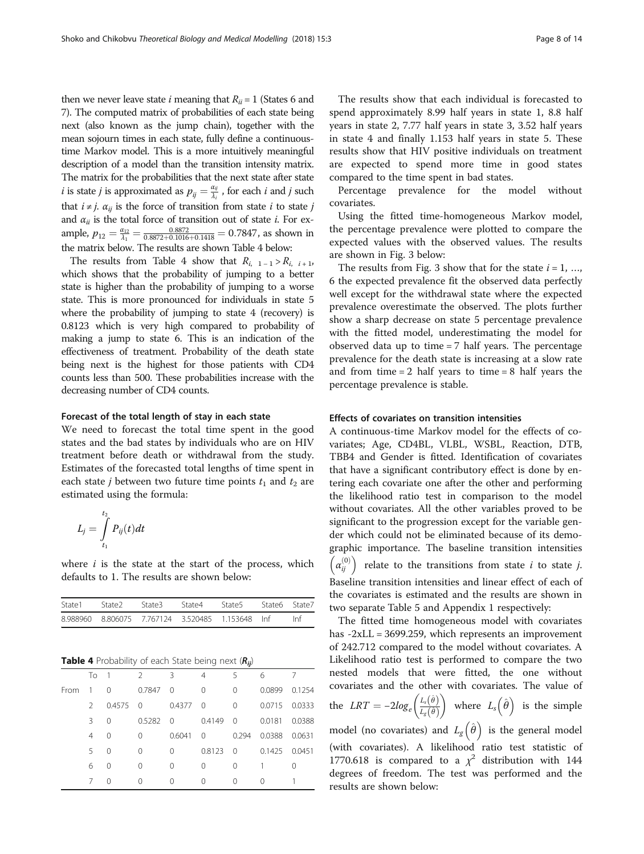then we never leave state *i* meaning that  $R_{ii} = 1$  (States 6 and 7). The computed matrix of probabilities of each state being next (also known as the jump chain), together with the mean sojourn times in each state, fully define a continuoustime Markov model. This is a more intuitively meaningful description of a model than the transition intensity matrix. The matrix for the probabilities that the next state after state *i* is state *j* is approximated as  $p_{ij} = \frac{\alpha_{ij}}{\lambda_i}$ , for each *i* and *j* such that  $i \neq j$ .  $\alpha_{ij}$  is the force of transition from state i to state j and  $\alpha_{ii}$  is the total force of transition out of state *i*. For example,  $p_{12} = \frac{\alpha_{12}}{\lambda_1} = \frac{0.8872}{0.8872 + 0.1016 + 0.1418} = 0.7847$ , as shown in the matrix below. The results are shown Table 4 below:

The results from Table 4 show that  $R_{i, 1-1} > R_{i, i+1}$ , which shows that the probability of jumping to a better state is higher than the probability of jumping to a worse state. This is more pronounced for individuals in state 5 where the probability of jumping to state 4 (recovery) is 0.8123 which is very high compared to probability of making a jump to state 6. This is an indication of the effectiveness of treatment. Probability of the death state being next is the highest for those patients with CD4 counts less than 500. These probabilities increase with the decreasing number of CD4 counts.

## Forecast of the total length of stay in each state

We need to forecast the total time spent in the good states and the bad states by individuals who are on HIV treatment before death or withdrawal from the study. Estimates of the forecasted total lengths of time spent in each state *j* between two future time points  $t_1$  and  $t_2$  are estimated using the formula:

$$
L_j = \int\limits_{t_1}^{t_2} P_{ij}(t) dt
$$

where  $i$  is the state at the start of the process, which defaults to 1. The results are shown below:

| State1   |               | State <sub>2</sub>                                             | State3        | State4   |                | State <sub>5</sub> | State <sub>6</sub> | State7 |
|----------|---------------|----------------------------------------------------------------|---------------|----------|----------------|--------------------|--------------------|--------|
| 8.988960 |               | 8.806075                                                       | 7.767124      |          | 3.520485       | 1.153648           | Inf                | Inf    |
|          |               |                                                                |               |          |                |                    |                    |        |
|          |               | <b>Table 4</b> Probability of each State being next $(R_{ii})$ |               |          |                |                    |                    |        |
|          | To            | 1                                                              | $\mathcal{P}$ | 3        | $\overline{4}$ | 5                  | 6                  | 7      |
| From     | 1             | $\Omega$                                                       | 0.7847        | $\Omega$ | 0              | 0                  | 0.0899             | 0.1254 |
|          | $\mathcal{P}$ | 0.4575                                                         | 0             | 0.4377   | 0              | $\Omega$           | 0.0715             | 0.0333 |
|          | ζ             | 0                                                              | 0.5282        | 0        | 0.4149         | 0                  | 0.0181             | 0.0388 |
|          | 4             | 0                                                              | 0             | 0.6041   | 0              | 0.294              | 0.0388             | 0.0631 |

5 0 0 0 0.8123 0 0.1425 0.0451 60 0 0 0 0 1 0 70 0 0 0 0 0 1

The results show that each individual is forecasted to spend approximately 8.99 half years in state 1, 8.8 half years in state 2, 7.77 half years in state 3, 3.52 half years in state 4 and finally 1.153 half years in state 5. These results show that HIV positive individuals on treatment are expected to spend more time in good states compared to the time spent in bad states.

Percentage prevalence for the model without covariates.

Using the fitted time-homogeneous Markov model, the percentage prevalence were plotted to compare the expected values with the observed values. The results are shown in Fig. [3](#page-8-0) below:

The results from Fig. [3](#page-8-0) show that for the state  $i = 1, ...,$ 6 the expected prevalence fit the observed data perfectly well except for the withdrawal state where the expected prevalence overestimate the observed. The plots further show a sharp decrease on state 5 percentage prevalence with the fitted model, underestimating the model for observed data up to time = 7 half years. The percentage prevalence for the death state is increasing at a slow rate and from time  $= 2$  half years to time  $= 8$  half years the percentage prevalence is stable.

## Effects of covariates on transition intensities

A continuous-time Markov model for the effects of covariates; Age, CD4BL, VLBL, WSBL, Reaction, DTB, TBB4 and Gender is fitted. Identification of covariates that have a significant contributory effect is done by entering each covariate one after the other and performing the likelihood ratio test in comparison to the model without covariates. All the other variables proved to be significant to the progression except for the variable gender which could not be eliminated because of its demographic importance. The baseline transition intensities  $\left(\alpha_{ij}^{(0)}\right)$ relate to the transitions from state  $i$  to state  $j$ . Baseline transition intensities and linear effect of each of the covariates is estimated and the results are shown in two separate Table [5](#page-9-0) and [Appendix 1](#page-11-0) respectively:

The fitted time homogeneous model with covariates has -2xLL = 3699.259, which represents an improvement of 242.712 compared to the model without covariates. A Likelihood ratio test is performed to compare the two nested models that were fitted, the one without covariates and the other with covariates. The value of the  $LRT = -2log_e \left( \frac{L_s(\hat{\theta})}{L_e(\hat{\theta})} \right)$  $\left( \frac{L_s(\hat{\theta})}{L_s(\hat{\theta})} \right)$  where  $L_s (\hat{\theta})$  is the simple model (no covariates) and  $L_g(\hat{\theta})$  is the general model (with covariates). A likelihood ratio test statistic of 1770.618 is compared to a  $\chi^2$  distribution with 144 degrees of freedom. The test was performed and the

results are shown below: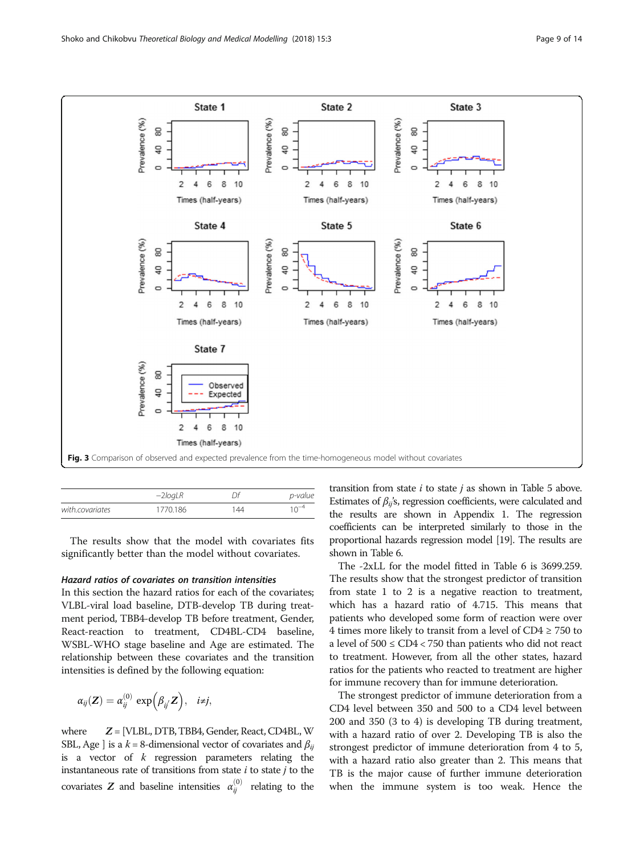<span id="page-8-0"></span>

|                 | $-2$ <i>log</i> LR |     | p-value   |
|-----------------|--------------------|-----|-----------|
| with.covariates | 1770.186           | 144 | $10^{-4}$ |

The results show that the model with covariates fits significantly better than the model without covariates.

## Hazard ratios of covariates on transition intensities

In this section the hazard ratios for each of the covariates; VLBL-viral load baseline, DTB-develop TB during treatment period, TBB4-develop TB before treatment, Gender, React-reaction to treatment, CD4BL-CD4 baseline, WSBL-WHO stage baseline and Age are estimated. The relationship between these covariates and the transition intensities is defined by the following equation:

$$
\alpha_{ij}(\mathbf{Z}) = \alpha_{ij}^{(0)} \exp\left(\beta_{ij} \mathbf{Z}\right), \quad i \neq j,
$$

where  $Z = [VLBL, DTB, TBB4, Gender, React, CD4BL, W]$ SBL, Age ] is a  $k = 8$ -dimensional vector of covariates and  $\beta_{ii}$ is a vector of  $k$  regression parameters relating the instantaneous rate of transitions from state  $i$  to state  $j$  to the covariates  $Z$  and baseline intensities  $\alpha_{ij}^{(0)}$  relating to the

transition from state  $i$  to state  $j$  as shown in Table [5](#page-9-0) above. Estimates of  $\beta_{ii}$ 's, regression coefficients, were calculated and the results are shown in [Appendix 1.](#page-11-0) The regression coefficients can be interpreted similarly to those in the proportional hazards regression model [\[19](#page-12-0)]. The results are shown in Table [6.](#page-9-0)

The -2xLL for the model fitted in Table [6](#page-9-0) is 3699.259. The results show that the strongest predictor of transition from state 1 to 2 is a negative reaction to treatment, which has a hazard ratio of 4.715. This means that patients who developed some form of reaction were over 4 times more likely to transit from a level of  $CD4 \ge 750$  to a level of  $500 \le CD4 < 750$  than patients who did not react to treatment. However, from all the other states, hazard ratios for the patients who reacted to treatment are higher for immune recovery than for immune deterioration.

The strongest predictor of immune deterioration from a CD4 level between 350 and 500 to a CD4 level between 200 and 350 (3 to 4) is developing TB during treatment, with a hazard ratio of over 2. Developing TB is also the strongest predictor of immune deterioration from 4 to 5, with a hazard ratio also greater than 2. This means that TB is the major cause of further immune deterioration when the immune system is too weak. Hence the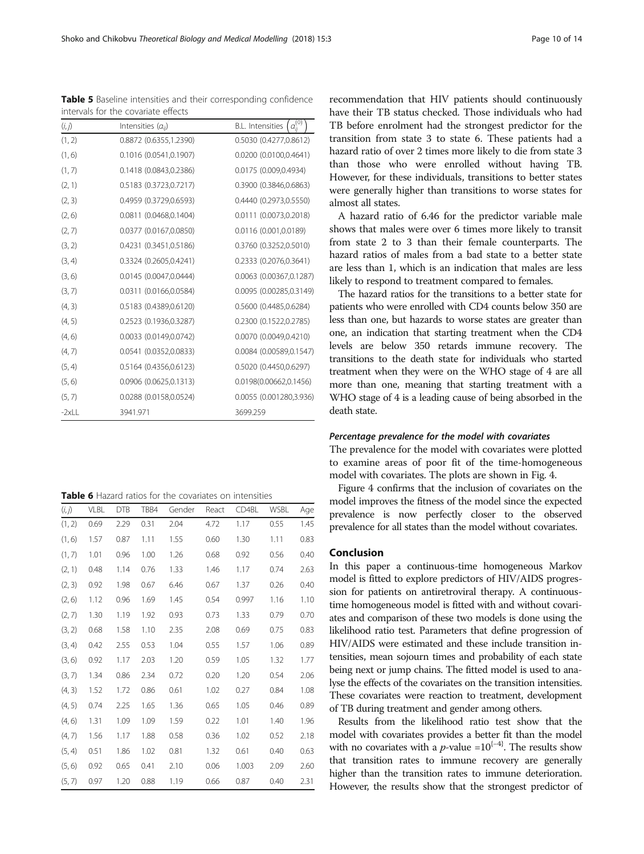<span id="page-9-0"></span>Shoko and Chikobvu Theoretical Biology and Medical Modelling (2018) 15:3 Page 10 of 14

|        | intervals for the covariate effects |                                                     |
|--------|-------------------------------------|-----------------------------------------------------|
| (i, j) | Intensities $(a_{ii})$              | $\mathcal{Q}^{(0)}_{ij}$<br><b>B.L.</b> Intensities |
| (1, 2) | 0.8872 (0.6355,1.2390)              | 0.5030 (0.4277,0.8612)                              |
| (1, 6) | 0.1016 (0.0541,0.1907)              | 0.0200 (0.0100,0.4641)                              |
| (1, 7) | 0.1418 (0.0843,0.2386)              | 0.0175 (0.009,0.4934)                               |
| (2, 1) | 0.5183 (0.3723,0.7217)              | 0.3900 (0.3846,0.6863)                              |
| (2, 3) | 0.4959 (0.3729,0.6593)              | 0.4440 (0.2973,0.5550)                              |
| (2, 6) | 0.0811 (0.0468,0.1404)              | 0.0111 (0.0073,0.2018)                              |
| (2, 7) | 0.0377 (0.0167,0.0850)              | 0.0116 (0.001,0.0189)                               |
| (3, 2) | 0.4231 (0.3451,0.5186)              | 0.3760 (0.3252,0.5010)                              |
| (3, 4) | 0.3324 (0.2605,0.4241)              | 0.2333 (0.2076,0.3641)                              |
| (3, 6) | 0.0145 (0.0047,0.0444)              | 0.0063 (0.00367,0.1287)                             |
| (3, 7) | 0.0311 (0.0166,0.0584)              | 0.0095 (0.00285,0.3149)                             |
| (4, 3) | 0.5183 (0.4389,0.6120)              | 0.5600 (0.4485,0.6284)                              |
| (4, 5) | 0.2523 (0.1936,0.3287)              | 0.2300 (0.1522,0.2785)                              |
| (4, 6) | 0.0033 (0.0149,0.0742)              | 0.0070 (0.0049,0.4210)                              |
| (4, 7) | 0.0541 (0.0352,0.0833)              | 0.0084 (0.00589,0.1547)                             |
| (5, 4) | 0.5164 (0.4356,0.6123)              | 0.5020 (0.4450,0.6297)                              |
| (5, 6) | 0.0906 (0.0625,0.1313)              | 0.0198(0.00662,0.1456)                              |
| (5, 7) | 0.0288 (0.0158,0.0524)              | 0.0055 (0.001280,3.936)                             |

Table 5 Baseline intensities and their corresponding confidence

|  | <b>Table 6</b> Hazard ratios for the covariates on intensities |  |  |  |  |  |
|--|----------------------------------------------------------------|--|--|--|--|--|
|--|----------------------------------------------------------------|--|--|--|--|--|

-2xLL 3941.971 3699.259

| (i, j) | <b>VLBL</b> | <b>DTB</b> | TBB4 | Gender | React | CD4BL | <b>WSBL</b> | Age  |
|--------|-------------|------------|------|--------|-------|-------|-------------|------|
| (1, 2) | 0.69        | 2.29       | 0.31 | 2.04   | 4.72  | 1.17  | 0.55        | 1.45 |
| (1, 6) | 1.57        | 0.87       | 1.11 | 1.55   | 0.60  | 1.30  | 1.11        | 0.83 |
| (1, 7) | 1.01        | 0.96       | 1.00 | 1.26   | 0.68  | 0.92  | 0.56        | 0.40 |
| (2, 1) | 0.48        | 1.14       | 0.76 | 1.33   | 1.46  | 1.17  | 0.74        | 2.63 |
| (2, 3) | 0.92        | 1.98       | 0.67 | 6.46   | 0.67  | 1.37  | 0.26        | 0.40 |
| (2, 6) | 1.12        | 0.96       | 1.69 | 1.45   | 0.54  | 0.997 | 1.16        | 1.10 |
| (2, 7) | 1.30        | 1.19       | 1.92 | 0.93   | 0.73  | 1.33  | 0.79        | 0.70 |
| (3, 2) | 0.68        | 1.58       | 1.10 | 2.35   | 2.08  | 0.69  | 0.75        | 0.83 |
| (3, 4) | 0.42        | 2.55       | 0.53 | 1.04   | 0.55  | 1.57  | 1.06        | 0.89 |
| (3, 6) | 0.92        | 1.17       | 2.03 | 1.20   | 0.59  | 1.05  | 1.32        | 1.77 |
| (3, 7) | 1.34        | 0.86       | 2.34 | 0.72   | 0.20  | 1.20  | 0.54        | 2.06 |
| (4, 3) | 1.52        | 1.72       | 0.86 | 0.61   | 1.02  | 0.27  | 0.84        | 1.08 |
| (4, 5) | 0.74        | 2.25       | 1.65 | 1.36   | 0.65  | 1.05  | 0.46        | 0.89 |
| (4, 6) | 1.31        | 1.09       | 1.09 | 1.59   | 0.22  | 1.01  | 1.40        | 1.96 |
| (4, 7) | 1.56        | 1.17       | 1.88 | 0.58   | 0.36  | 1.02  | 0.52        | 2.18 |
| (5, 4) | 0.51        | 1.86       | 1.02 | 0.81   | 1.32  | 0.61  | 0.40        | 0.63 |
| (5, 6) | 0.92        | 0.65       | 0.41 | 2.10   | 0.06  | 1.003 | 2.09        | 2.60 |
| (5, 7) | 0.97        | 1.20       | 0.88 | 1.19   | 0.66  | 0.87  | 0.40        | 2.31 |

recommendation that HIV patients should continuously have their TB status checked. Those individuals who had TB before enrolment had the strongest predictor for the transition from state 3 to state 6. These patients had a hazard ratio of over 2 times more likely to die from state 3 than those who were enrolled without having TB. However, for these individuals, transitions to better states were generally higher than transitions to worse states for almost all states.

A hazard ratio of 6.46 for the predictor variable male shows that males were over 6 times more likely to transit from state 2 to 3 than their female counterparts. The hazard ratios of males from a bad state to a better state are less than 1, which is an indication that males are less likely to respond to treatment compared to females.

The hazard ratios for the transitions to a better state for patients who were enrolled with CD4 counts below 350 are less than one, but hazards to worse states are greater than one, an indication that starting treatment when the CD4 levels are below 350 retards immune recovery. The transitions to the death state for individuals who started treatment when they were on the WHO stage of 4 are all more than one, meaning that starting treatment with a WHO stage of 4 is a leading cause of being absorbed in the death state.

## Percentage prevalence for the model with covariates

The prevalence for the model with covariates were plotted to examine areas of poor fit of the time-homogeneous model with covariates. The plots are shown in Fig. [4](#page-10-0).

Figure [4](#page-10-0) confirms that the inclusion of covariates on the model improves the fitness of the model since the expected prevalence is now perfectly closer to the observed prevalence for all states than the model without covariates.

## Conclusion

In this paper a continuous-time homogeneous Markov model is fitted to explore predictors of HIV/AIDS progression for patients on antiretroviral therapy. A continuoustime homogeneous model is fitted with and without covariates and comparison of these two models is done using the likelihood ratio test. Parameters that define progression of HIV/AIDS were estimated and these include transition intensities, mean sojourn times and probability of each state being next or jump chains. The fitted model is used to analyse the effects of the covariates on the transition intensities. These covariates were reaction to treatment, development of TB during treatment and gender among others.

Results from the likelihood ratio test show that the model with covariates provides a better fit than the model with no covariates with a *p*-value =10<sup>{-4}</sup>. The results show that transition rates to immune recovery are generally higher than the transition rates to immune deterioration. However, the results show that the strongest predictor of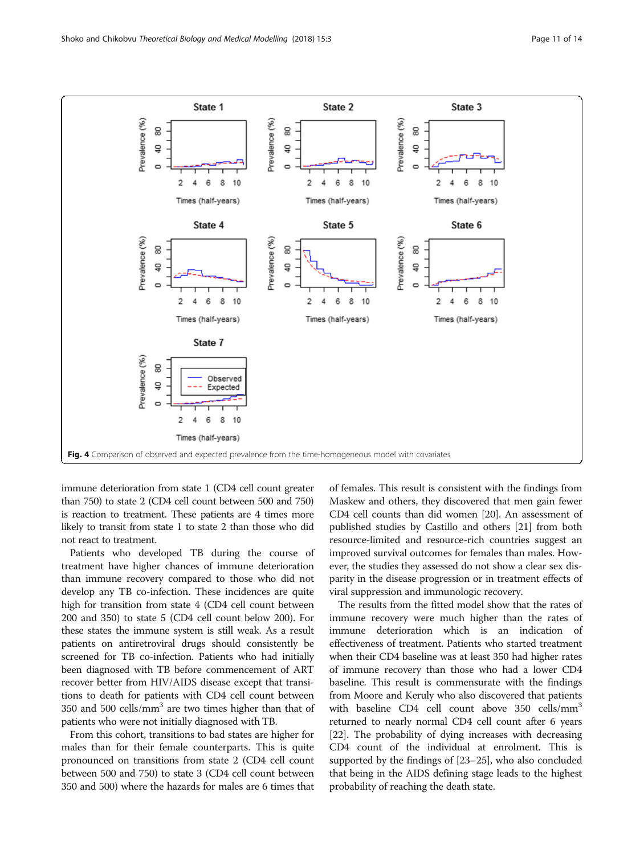<span id="page-10-0"></span>

immune deterioration from state 1 (CD4 cell count greater than 750) to state 2 (CD4 cell count between 500 and 750) is reaction to treatment. These patients are 4 times more likely to transit from state 1 to state 2 than those who did not react to treatment.

Patients who developed TB during the course of treatment have higher chances of immune deterioration than immune recovery compared to those who did not develop any TB co-infection. These incidences are quite high for transition from state 4 (CD4 cell count between 200 and 350) to state 5 (CD4 cell count below 200). For these states the immune system is still weak. As a result patients on antiretroviral drugs should consistently be screened for TB co-infection. Patients who had initially been diagnosed with TB before commencement of ART recover better from HIV/AIDS disease except that transitions to death for patients with CD4 cell count between 350 and 500 cells/ $mm<sup>3</sup>$  are two times higher than that of patients who were not initially diagnosed with TB.

From this cohort, transitions to bad states are higher for males than for their female counterparts. This is quite pronounced on transitions from state 2 (CD4 cell count between 500 and 750) to state 3 (CD4 cell count between 350 and 500) where the hazards for males are 6 times that

of females. This result is consistent with the findings from Maskew and others, they discovered that men gain fewer CD4 cell counts than did women [[20](#page-12-0)]. An assessment of published studies by Castillo and others [\[21\]](#page-12-0) from both resource-limited and resource-rich countries suggest an improved survival outcomes for females than males. However, the studies they assessed do not show a clear sex disparity in the disease progression or in treatment effects of viral suppression and immunologic recovery.

The results from the fitted model show that the rates of immune recovery were much higher than the rates of immune deterioration which is an indication of effectiveness of treatment. Patients who started treatment when their CD4 baseline was at least 350 had higher rates of immune recovery than those who had a lower CD4 baseline. This result is commensurate with the findings from Moore and Keruly who also discovered that patients with baseline CD4 cell count above 350 cells/mm<sup>3</sup> returned to nearly normal CD4 cell count after 6 years [[22](#page-12-0)]. The probability of dying increases with decreasing CD4 count of the individual at enrolment. This is supported by the findings of [\[23](#page-13-0)–[25](#page-13-0)], who also concluded that being in the AIDS defining stage leads to the highest probability of reaching the death state.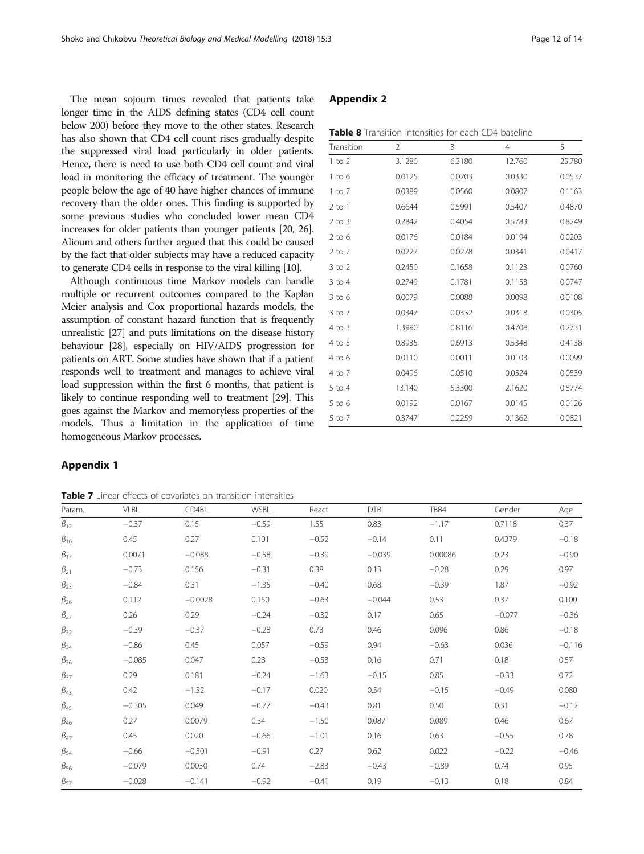<span id="page-11-0"></span>The mean sojourn times revealed that patients take longer time in the AIDS defining states (CD4 cell count below 200) before they move to the other states. Research has also shown that CD4 cell count rises gradually despite the suppressed viral load particularly in older patients. Hence, there is need to use both CD4 cell count and viral load in monitoring the efficacy of treatment. The younger people below the age of 40 have higher chances of immune recovery than the older ones. This finding is supported by some previous studies who concluded lower mean CD4 increases for older patients than younger patients [\[20,](#page-12-0) [26](#page-13-0)]. Alioum and others further argued that this could be caused by the fact that older subjects may have a reduced capacity to generate CD4 cells in response to the viral killing [\[10](#page-12-0)].

Although continuous time Markov models can handle multiple or recurrent outcomes compared to the Kaplan Meier analysis and Cox proportional hazards models, the assumption of constant hazard function that is frequently unrealistic [\[27\]](#page-13-0) and puts limitations on the disease history behaviour [[28](#page-13-0)], especially on HIV/AIDS progression for patients on ART. Some studies have shown that if a patient responds well to treatment and manages to achieve viral load suppression within the first 6 months, that patient is likely to continue responding well to treatment [[29](#page-13-0)]. This goes against the Markov and memoryless properties of the models. Thus a limitation in the application of time homogeneous Markov processes.

## Appendix 2

| <b>Table 8</b> Transition intensities for each CD4 baseline |  |  |  |
|-------------------------------------------------------------|--|--|--|
|-------------------------------------------------------------|--|--|--|

| Transition | 2      | 3      | 4      | 5      |
|------------|--------|--------|--------|--------|
| $1$ to $2$ | 3.1280 | 6.3180 | 12.760 | 25.780 |
| $1$ to 6   | 0.0125 | 0.0203 | 0.0330 | 0.0537 |
| $1$ to $7$ | 0.0389 | 0.0560 | 0.0807 | 0.1163 |
| $2$ to 1   | 0.6644 | 0.5991 | 0.5407 | 0.4870 |
| $2$ to $3$ | 0.2842 | 0.4054 | 0.5783 | 0.8249 |
| $2$ to 6   | 0.0176 | 0.0184 | 0.0194 | 0.0203 |
| $2$ to $7$ | 0.0227 | 0.0278 | 0.0341 | 0.0417 |
| $3$ to $2$ | 0.2450 | 0.1658 | 0.1123 | 0.0760 |
| $3$ to $4$ | 0.2749 | 0.1781 | 0.1153 | 0.0747 |
| $3$ to 6   | 0.0079 | 0.0088 | 0.0098 | 0.0108 |
| $3$ to $7$ | 0.0347 | 0.0332 | 0.0318 | 0.0305 |
| 4 to 3     | 1.3990 | 0.8116 | 0.4708 | 0.2731 |
| 4 to 5     | 0.8935 | 0.6913 | 0.5348 | 0.4138 |
| 4 to 6     | 0.0110 | 0.0011 | 0.0103 | 0.0099 |
| 4 to 7     | 0.0496 | 0.0510 | 0.0524 | 0.0539 |
| 5 to 4     | 13.140 | 5.3300 | 2.1620 | 0.8774 |
| $5$ to 6   | 0.0192 | 0.0167 | 0.0145 | 0.0126 |
| 5 to 7     | 0.3747 | 0.2259 | 0.1362 | 0.0821 |

## Appendix 1

| <b>Table 7</b> Linear effects of covariates on transition intensities |  |
|-----------------------------------------------------------------------|--|
|-----------------------------------------------------------------------|--|

| Param.       | <b>VLBL</b> | CD4BL     | <b>WSBL</b> | React   | <b>DTB</b> | TBB4    | Gender   | Age      |
|--------------|-------------|-----------|-------------|---------|------------|---------|----------|----------|
| $\beta_{12}$ | $-0.37$     | 0.15      | $-0.59$     | 1.55    | 0.83       | $-1.17$ | 0.7118   | 0.37     |
| $\beta_{16}$ | 0.45        | 0.27      | 0.101       | $-0.52$ | $-0.14$    | 0.11    | 0.4379   | $-0.18$  |
| $\beta_{17}$ | 0.0071      | $-0.088$  | $-0.58$     | $-0.39$ | $-0.039$   | 0.00086 | 0.23     | $-0.90$  |
| $\beta_{21}$ | $-0.73$     | 0.156     | $-0.31$     | 0.38    | 0.13       | $-0.28$ | 0.29     | 0.97     |
| $\beta_{23}$ | $-0.84$     | 0.31      | $-1.35$     | $-0.40$ | 0.68       | $-0.39$ | 1.87     | $-0.92$  |
| $\beta_{26}$ | 0.112       | $-0.0028$ | 0.150       | $-0.63$ | $-0.044$   | 0.53    | 0.37     | 0.100    |
| $\beta_{27}$ | 0.26        | 0.29      | $-0.24$     | $-0.32$ | 0.17       | 0.65    | $-0.077$ | $-0.36$  |
| $\beta_{32}$ | $-0.39$     | $-0.37$   | $-0.28$     | 0.73    | 0.46       | 0.096   | 0.86     | $-0.18$  |
| $\beta_{34}$ | $-0.86$     | 0.45      | 0.057       | $-0.59$ | 0.94       | $-0.63$ | 0.036    | $-0.116$ |
| $\beta_{36}$ | $-0.085$    | 0.047     | 0.28        | $-0.53$ | 0.16       | 0.71    | 0.18     | 0.57     |
| $\beta_{37}$ | 0.29        | 0.181     | $-0.24$     | $-1.63$ | $-0.15$    | 0.85    | $-0.33$  | 0.72     |
| $\beta_{43}$ | 0.42        | $-1.32$   | $-0.17$     | 0.020   | 0.54       | $-0.15$ | $-0.49$  | 0.080    |
| $\beta_{45}$ | $-0.305$    | 0.049     | $-0.77$     | $-0.43$ | 0.81       | 0.50    | 0.31     | $-0.12$  |
| $\beta_{46}$ | 0.27        | 0.0079    | 0.34        | $-1.50$ | 0.087      | 0.089   | 0.46     | 0.67     |
| $\beta_{47}$ | 0.45        | 0.020     | $-0.66$     | $-1.01$ | 0.16       | 0.63    | $-0.55$  | 0.78     |
| $\beta_{54}$ | $-0.66$     | $-0.501$  | $-0.91$     | 0.27    | 0.62       | 0.022   | $-0.22$  | $-0.46$  |
| $\beta_{56}$ | $-0.079$    | 0.0030    | 0.74        | $-2.83$ | $-0.43$    | $-0.89$ | 0.74     | 0.95     |
| $\beta_{57}$ | $-0.028$    | $-0.141$  | $-0.92$     | $-0.41$ | 0.19       | $-0.13$ | 0.18     | 0.84     |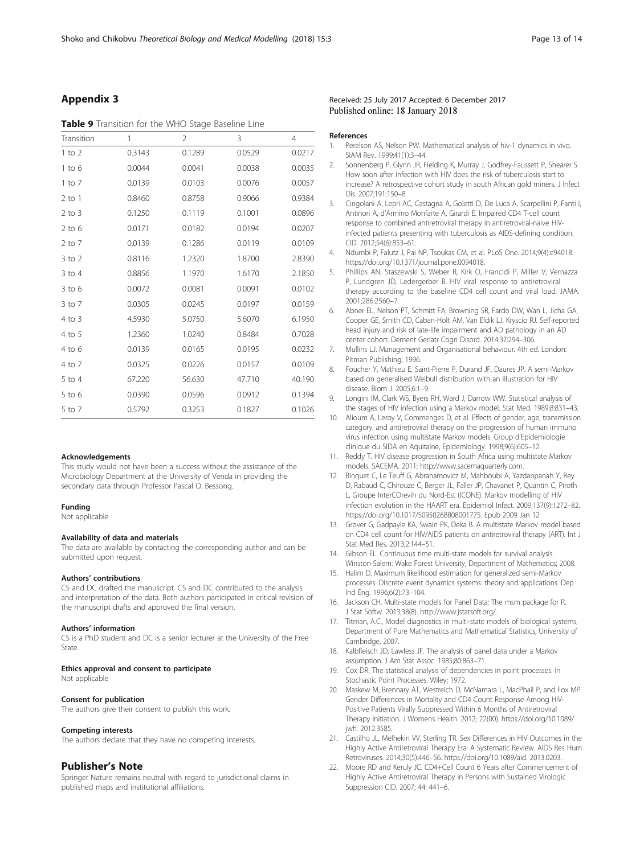## <span id="page-12-0"></span>Appendix 3

## Table 9 Transition for the WHO Stage Baseline Line

| Transition | 1      | $\overline{2}$ | 3      | 4      |
|------------|--------|----------------|--------|--------|
| $1$ to $2$ | 0.3143 | 0.1289         | 0.0529 | 0.0217 |
| 1 to 6     | 0.0044 | 0.0041         | 0.0038 | 0.0035 |
| 1 to 7     | 0.0139 | 0.0103         | 0.0076 | 0.0057 |
| $2$ to 1   | 0.8460 | 0.8758         | 0.9066 | 0.9384 |
| $2$ to $3$ | 0.1250 | 0.1119         | 0.1001 | 0.0896 |
| $2$ to 6   | 0.0171 | 0.0182         | 0.0194 | 0.0207 |
| 2 to 7     | 0.0139 | 0.1286         | 0.0119 | 0.0109 |
| $3$ to $2$ | 0.8116 | 1.2320         | 1.8700 | 2.8390 |
| $3$ to 4   | 0.8856 | 1.1970         | 1.6170 | 2.1850 |
| $3$ to 6   | 0.0072 | 0.0081         | 0.0091 | 0.0102 |
| $3$ to $7$ | 0.0305 | 0.0245         | 0.0197 | 0.0159 |
| 4 to 3     | 4.5930 | 5.0750         | 5.6070 | 6.1950 |
| 4 to 5     | 1.2360 | 1.0240         | 0.8484 | 0.7028 |
| $4$ to 6   | 0.0139 | 0.0165         | 0.0195 | 0.0232 |
| 4 to 7     | 0.0325 | 0.0226         | 0.0157 | 0.0109 |
| 5 to 4     | 67.220 | 56.630         | 47.710 | 40.190 |
| $5$ to 6   | 0.0390 | 0.0596         | 0.0912 | 0.1394 |
| 5 to 7     | 0.5792 | 0.3253         | 0.1827 | 0.1026 |

#### Acknowledgements

This study would not have been a success without the assistance of the Microbiology Department at the University of Venda in providing the secondary data through Professor Pascal O. Bessong.

## Funding

Not applicable

#### Availability of data and materials

The data are available by contacting the corresponding author and can be submitted upon request.

#### Authors' contributions

CS and DC drafted the manuscript. CS and DC contributed to the analysis and interpretation of the data. Both authors participated in critical revision of the manuscript drafts and approved the final version.

## Authors' information

CS is a PhD student and DC is a senior lecturer at the University of the Free State.

#### Ethics approval and consent to participate

Not applicable

## Consent for publication

The authors give their consent to publish this work.

#### Competing interests

The authors declare that they have no competing interests.

## Publisher's Note

Springer Nature remains neutral with regard to jurisdictional claims in published maps and institutional affiliations.

## Received: 25 July 2017 Accepted: 6 December 2017 Published online: 18 January 2018

#### References

- 1. Perelson AS, Nelson PW. Mathematical analysis of hiv-1 dynamics in vivo. SIAM Rev. 1999;41(1):3–44.
- 2. Sonnenberg P, Glynn JR, Fielding K, Murray J, Godfrey-Faussett P, Shearer S. How soon after infection with HIV does the risk of tuberculosis start to increase? A retrospective cohort study in south African gold miners. J Infect Dis. 2007;191:150–8.
- 3. Cingolani A, Lepri AC, Castagna A, Goletti D, De Luca A, Scarpellini P, Fanti I, Antinori A, d'Armino Monfarte A, Girardi E. Impaired CD4 T-cell count response to combined antiretroviral therapy in antiretroviral-naive HIVinfected patients presenting with tuberculosis as AIDS-defining condition. CID. 2012;54(6):853–61.
- 4. Ndumbi P, Falutz J, Pai NP, Tsoukas CM, et al. PLoS One. 2014;9(4):e94018. [https://doi.org/10.1371/journal.pone.0094018.](http://dx.doi.org/10.1371/journal.pone.0094018)
- 5. Phillips AN, Staszewski S, Weber R, Kirk O, Francidi P, Miller V, Vernazza P, Lundgren JD, Ledergerber B. HIV viral response to antiretroviral therapy according to the baseline CD4 cell count and viral load. JAMA. 2001;286:2560–7.
- 6. Abner EL, Nelson PT, Schmitt FA, Browning SR, Fardo DW, Wan L, Jicha GA, Cooper GE, Smith CD, Caban-Holt AM, Van Eldik LJ, Kryscio RJ. Self-reported head injury and risk of late-life impairment and AD pathology in an AD center cohort. Dement Geriatr Cogn Disord. 2014;37:294–306.
- 7. Mullins LJ. Management and Organisational behaviour. 4th ed. London: Pitman Publishing; 1996.
- 8. Foucher Y, Mathieu E, Saint-Pierre P, Durand JF, Daures JP. A semi-Markov based on generalised Weibull distribution with an illustration for HIV disease. Biom J. 2005;6:1–9.
- 9. Longini IM, Clark WS, Byers RH, Ward J, Darrow WW. Statistical analysis of the stages of HIV infection using a Markov model. Stat Med. 1989;8:831–43.
- 10. Alioum A, Leroy V, Commenges D, et al. Effects of gender, age, transmission category, and antiretroviral therapy on the progression of human immuno virus infection using multistate Markov models. Group d'Epidemiologie clinique du SIDA en Aquitaine, Epidemiology. 1998;9(6):605–12.
- 11. Reddy T. HIV disease progression in South Africa using multistate Markov models. SACEMA. 2011;<http://www.sacemaquarterly.com>.
- 12. Binquet C, Le Teuff G, Abrahamovicz M, Mahboubi A, Yazdanpanah Y, Rey D, Rabaud C, Chirouze C, Berger JL, Faller JP, Chavanet P, Quantin C, Piroth L, Groupe InterCOrevih du Nord-Est (ICONE). Markov modelling of HIV infection evolution in the HAART era. Epidemiol Infect. 2009;137(9):1272–82. [https://doi.org/10.1017/S0950268808001775.](http://dx.doi.org/10.1017/S0950268808001775) Epub 2009 Jan 12
- 13. Grover G, Gadpayle KA, Swain PK, Deka B. A multistate Markov model based on CD4 cell count for HIV/AIDS patients on antiretroviral therapy (ART). Int J Stat Med Res. 2013;2:144–51.
- 14. Gibson EL. Continuous time multi-state models for survival analysis. Winston-Salem: Wake Forest University, Department of Mathematics; 2008.
- 15. Halim D. Maximum likelihood estimation for generalized semi-Markov processes. Discrete event dynamics systems: theory and applications. Dep Ind Eng. 1996;6(2):73–104.
- 16. Jackson CH. Multi-state models for Panel Data: The msm package for R. J Stat Softw. 2013;38(8). [http://www.jstatsoft.org/.](http://www.jstatsoft.org/)
- 17. Titman, A.C., Model diagnostics in multi-state models of biological systems, Department of Pure Mathematics and Mathematical Statistics, University of Cambridge, 2007.
- 18. Kalbfleisch JD, Lawless JF. The analysis of panel data under a Markov assumption. J Am Stat Assoc. 1985;80:863–71.
- 19. Cox DR. The statistical analysis of dependencies in point processes. In Stochastic Point Processes. Wiley; 1972.
- 20. Maskew M, Brennary AT, Westreich D, McNamara L, MacPhail P, and Fox MP. Gender Differences in Mortality and CD4 Count Response Among HIV-Positive Patients Virally Suppressed Within 6 Months of Antiretroviral Therapy Initiation. J Womens Health. 2012; 22(00). [https://doi.org/10.1089/](http://dx.doi.org/10.1089/jwh. 2012.3585) [jwh. 2012.3585.](http://dx.doi.org/10.1089/jwh. 2012.3585)
- 21. Castilho JL, Melhekin VV, Sterling TR. Sex Differences in HIV Outcomes in the Highly Active Antiretroviral Therapy Era: A Systematic Review. AIDS Res Hum Retroviruses. 2014;30(5):446–56. [https://doi.org/10.1089/aid. 2013.0203.](http://dx.doi.org/10.1089/aid. 2013.0203)
- 22. Moore RD and Keruly JC. CD4+Cell Count 6 Years after Commencement of Highly Active Antiretroviral Therapy in Persons with Sustained Virologic Suppression CID. 2007; 44: 441–6.